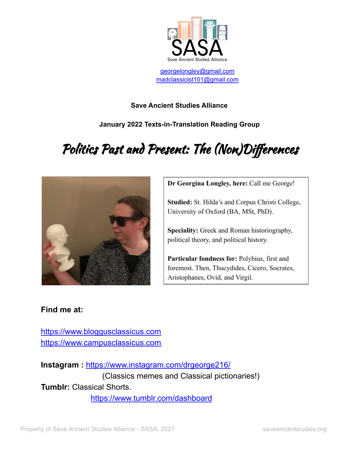

[georgelongley@gmail.com](mailto:georgelongley@gmail.com) [madclassicist101@gmail.com](mailto:madclassicist101@gmail.com)

## **Save Ancient Studies Alliance**

**January 2022 Texts-in-Translation Reading Group**

# Politics Past and Present: The (Non)Differences



Dr Georgina Longley, here: Call me George!

**Studied:** St. Hilda's and Corpus Christi College, University of Oxford (BA, MSt, PhD).

Speciality: Greek and Roman historiography, political theory, and political history.

Particular fondness for: Polybius, first and foremost. Then, Thucydides, Cicero, Socrates, Aristophanes, Ovid, and Virgil.

# **Find me at:**

<https://www.bloggusclassicus.com> <https://www.campusclassicus.com>

**Instagram :** <https://www.instagram.com/drgeorge216/> (Classics memes and Classical pictionaries!) **Tumblr:** Classical Shorts. <https://www.tumblr.com/dashboard>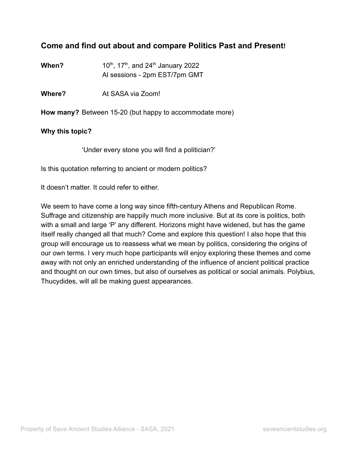# **Come and find out about and compare Politics Past and Present!**

**When?** , 17<sup>th</sup>, and 24<sup>th</sup> January 2022 Al sessions - 2pm EST/7pm GMT

**Where?** At SASA via Zoom!

**How many?** Between 15-20 (but happy to accommodate more)

#### **Why this topic?**

'Under every stone you will find a politician?'

Is this quotation referring to ancient or modern politics?

It doesn't matter. It could refer to either.

We seem to have come a long way since fifth-century Athens and Republican Rome. Suffrage and citizenship are happily much more inclusive. But at its core is politics, both with a small and large 'P' any different. Horizons might have widened, but has the game itself really changed all that much? Come and explore this question! I also hope that this group will encourage us to reassess what we mean by politics, considering the origins of our own terms. I very much hope participants will enjoy exploring these themes and come away with not only an enriched understanding of the influence of ancient political practice and thought on our own times, but also of ourselves as political or social animals. Polybius, Thucydides, will all be making guest appearances.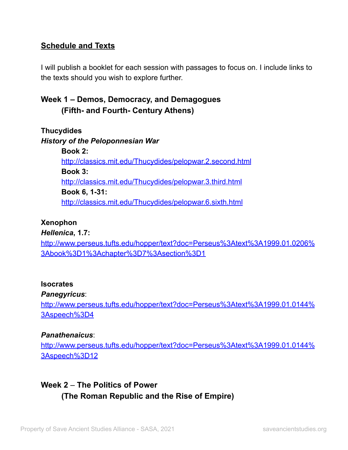# **Schedule and Texts**

I will publish a booklet for each session with passages to focus on. I include links to the texts should you wish to explore further.

# **Week 1 – Demos, Democracy, and Demagogues (Fifth- and Fourth- Century Athens)**

**Thucydides** *History of the Peloponnesian War* **Book 2:** <http://classics.mit.edu/Thucydides/pelopwar.2.second.html> **Book 3:** <http://classics.mit.edu/Thucydides/pelopwar.3.third.html> **Book 6, 1-31:** <http://classics.mit.edu/Thucydides/pelopwar.6.sixth.html>

## **Xenophon**

*Hellenica***, 1.7:**

[http://www.perseus.tufts.edu/hopper/text?doc=Perseus%3Atext%3A1999.01.0206%](http://www.perseus.tufts.edu/hopper/text?doc=Perseus%3Atext%3A1999.01.0206%3Abook%3D1%3Achapter%3D7%3Asection%3D1) [3Abook%3D1%3Achapter%3D7%3Asection%3D1](http://www.perseus.tufts.edu/hopper/text?doc=Perseus%3Atext%3A1999.01.0206%3Abook%3D1%3Achapter%3D7%3Asection%3D1)

### **Isocrates**

### *Panegyricus*:

[http://www.perseus.tufts.edu/hopper/text?doc=Perseus%3Atext%3A1999.01.0144%](http://www.perseus.tufts.edu/hopper/text?doc=Perseus%3Atext%3A1999.01.0144%3Aspeech%3D4) [3Aspeech%3D4](http://www.perseus.tufts.edu/hopper/text?doc=Perseus%3Atext%3A1999.01.0144%3Aspeech%3D4)

## *Panathenaicus*:

[http://www.perseus.tufts.edu/hopper/text?doc=Perseus%3Atext%3A1999.01.0144%](http://www.perseus.tufts.edu/hopper/text?doc=Perseus%3Atext%3A1999.01.0144%3Aspeech%3D12) [3Aspeech%3D12](http://www.perseus.tufts.edu/hopper/text?doc=Perseus%3Atext%3A1999.01.0144%3Aspeech%3D12)

# **Week 2** – **The Politics of Power (The Roman Republic and the Rise of Empire)**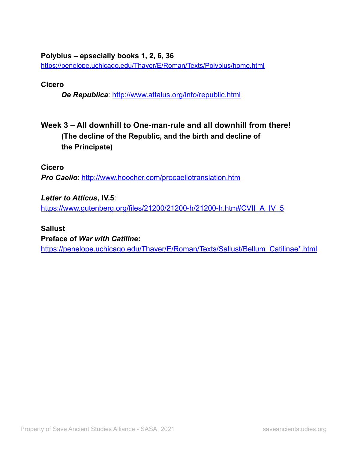### **Polybius – epsecially books 1, 2, 6, 36**

<https://penelope.uchicago.edu/Thayer/E/Roman/Texts/Polybius/home.html>

### **Cicero**

*De Republica*: <http://www.attalus.org/info/republic.html>

# **Week 3 – All downhill to One-man-rule and all downhill from there! (The decline of the Republic, and the birth and decline of the Principate)**

**Cicero**

*Pro Caelio*: <http://www.hoocher.com/procaeliotranslation.htm>

*Letter to Atticus***, IV.5**:

[https://www.gutenberg.org/files/21200/21200-h/21200-h.htm#CVII\\_A\\_IV\\_5](https://www.gutenberg.org/files/21200/21200-h/21200-h.htm#CVII_A_IV_5)

### **Sallust**

#### **Preface of** *War with Catiline***:**

[https://penelope.uchicago.edu/Thayer/E/Roman/Texts/Sallust/Bellum\\_Catilinae\\*.html](https://penelope.uchicago.edu/Thayer/E/Roman/Texts/Sallust/Bellum_Catilinae*.html)